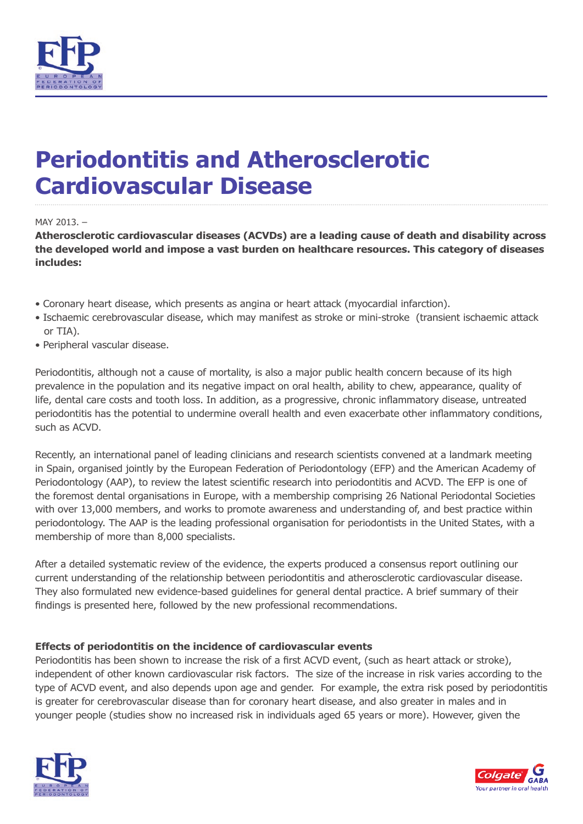

# **Periodontitis and Atherosclerotic Cardiovascular Disease**

#### MAY 2013. –

**Atherosclerotic cardiovascular diseases (ACVDs) are a leading cause of death and disability across the developed world and impose a vast burden on healthcare resources. This category of diseases includes:**

- Coronary heart disease, which presents as angina or heart attack (myocardial infarction).
- Ischaemic cerebrovascular disease, which may manifest as stroke or mini-stroke (transient ischaemic attack or TIA).
- Peripheral vascular disease.

Periodontitis, although not a cause of mortality, is also a major public health concern because of its high prevalence in the population and its negative impact on oral health, ability to chew, appearance, quality of life, dental care costs and tooth loss. In addition, as a progressive, chronic inflammatory disease, untreated periodontitis has the potential to undermine overall health and even exacerbate other inflammatory conditions, such as ACVD.

Recently, an international panel of leading clinicians and research scientists convened at a landmark meeting in Spain, organised jointly by the European Federation of Periodontology (EFP) and the American Academy of Periodontology (AAP), to review the latest scientific research into periodontitis and ACVD. The EFP is one of the foremost dental organisations in Europe, with a membership comprising 26 National Periodontal Societies with over 13,000 members, and works to promote awareness and understanding of, and best practice within periodontology. The AAP is the leading professional organisation for periodontists in the United States, with a membership of more than 8,000 specialists.

After a detailed systematic review of the evidence, the experts produced a consensus report outlining our current understanding of the relationship between periodontitis and atherosclerotic cardiovascular disease. They also formulated new evidence-based guidelines for general dental practice. A brief summary of their findings is presented here, followed by the new professional recommendations.

# **Effects of periodontitis on the incidence of cardiovascular events**

Periodontitis has been shown to increase the risk of a first ACVD event, (such as heart attack or stroke), independent of other known cardiovascular risk factors. The size of the increase in risk varies according to the type of ACVD event, and also depends upon age and gender. For example, the extra risk posed by periodontitis is greater for cerebrovascular disease than for coronary heart disease, and also greater in males and in younger people (studies show no increased risk in individuals aged 65 years or more). However, given the



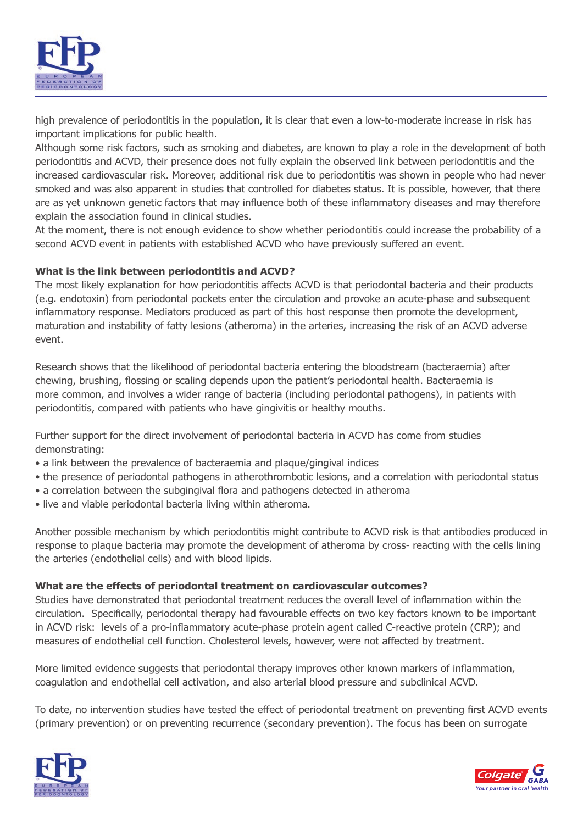

high prevalence of periodontitis in the population, it is clear that even a low-to-moderate increase in risk has important implications for public health.

Although some risk factors, such as smoking and diabetes, are known to play a role in the development of both periodontitis and ACVD, their presence does not fully explain the observed link between periodontitis and the increased cardiovascular risk. Moreover, additional risk due to periodontitis was shown in people who had never smoked and was also apparent in studies that controlled for diabetes status. It is possible, however, that there are as yet unknown genetic factors that may influence both of these inflammatory diseases and may therefore explain the association found in clinical studies.

At the moment, there is not enough evidence to show whether periodontitis could increase the probability of a second ACVD event in patients with established ACVD who have previously suffered an event.

# **What is the link between periodontitis and ACVD?**

The most likely explanation for how periodontitis affects ACVD is that periodontal bacteria and their products (e.g. endotoxin) from periodontal pockets enter the circulation and provoke an acute-phase and subsequent inflammatory response. Mediators produced as part of this host response then promote the development, maturation and instability of fatty lesions (atheroma) in the arteries, increasing the risk of an ACVD adverse event.

Research shows that the likelihood of periodontal bacteria entering the bloodstream (bacteraemia) after chewing, brushing, flossing or scaling depends upon the patient's periodontal health. Bacteraemia is more common, and involves a wider range of bacteria (including periodontal pathogens), in patients with periodontitis, compared with patients who have gingivitis or healthy mouths.

Further support for the direct involvement of periodontal bacteria in ACVD has come from studies demonstrating:

- a link between the prevalence of bacteraemia and plaque/gingival indices
- the presence of periodontal pathogens in atherothrombotic lesions, and a correlation with periodontal status
- a correlation between the subgingival flora and pathogens detected in atheroma
- live and viable periodontal bacteria living within atheroma.

Another possible mechanism by which periodontitis might contribute to ACVD risk is that antibodies produced in response to plaque bacteria may promote the development of atheroma by cross- reacting with the cells lining the arteries (endothelial cells) and with blood lipids.

# **What are the effects of periodontal treatment on cardiovascular outcomes?**

Studies have demonstrated that periodontal treatment reduces the overall level of inflammation within the circulation. Specifically, periodontal therapy had favourable effects on two key factors known to be important in ACVD risk: levels of a pro-inflammatory acute-phase protein agent called C-reactive protein (CRP); and measures of endothelial cell function. Cholesterol levels, however, were not affected by treatment.

More limited evidence suggests that periodontal therapy improves other known markers of inflammation, coagulation and endothelial cell activation, and also arterial blood pressure and subclinical ACVD.

To date, no intervention studies have tested the effect of periodontal treatment on preventing first ACVD events (primary prevention) or on preventing recurrence (secondary prevention). The focus has been on surrogate